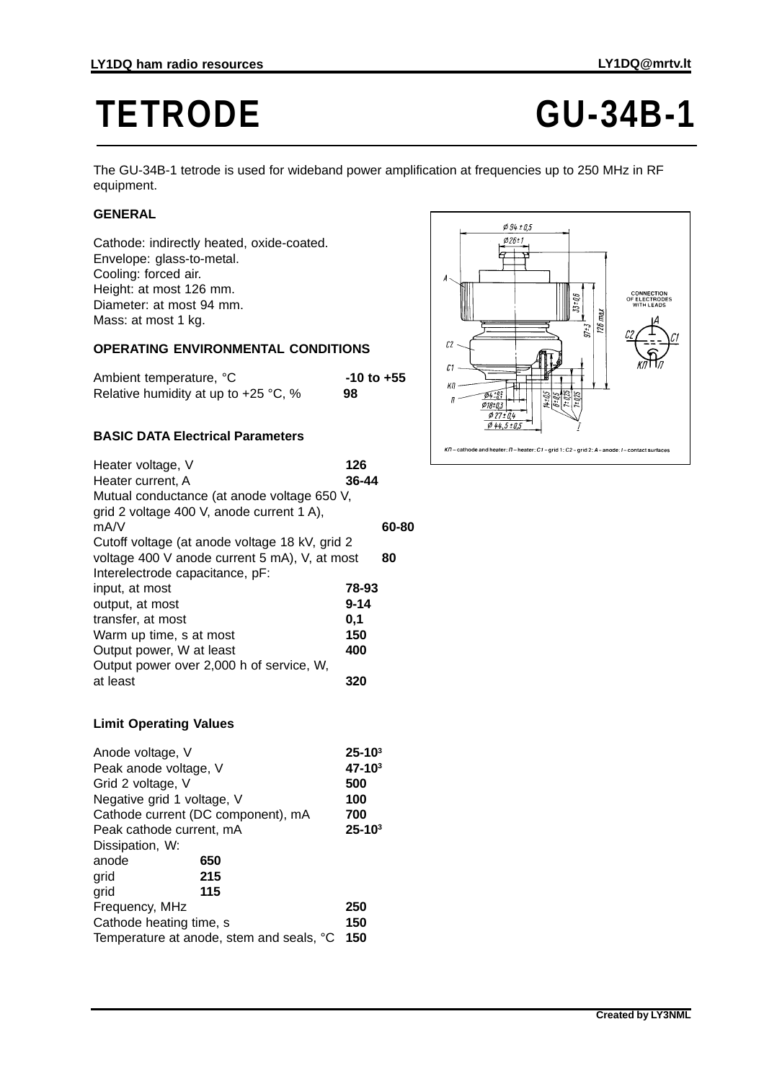# TETRODE **GU-34B-1**

The GU-34B-1 tetrode is used for wideband power amplification at frequencies up to 250 MHz in RF equipment.

## **GENERAL**

Cathode: indirectly heated, oxide-coated. Envelope: glass-to-metal. Cooling: forced air. Height: at most 126 mm. Diameter: at most 94 mm. Mass: at most 1 kg.

### **OPERATING ENVIRONMENTAL CONDITIONS**

| Ambient temperature, °C                | $-10$ to $+55$ |
|----------------------------------------|----------------|
| Relative humidity at up to $+25$ °C, % | 98             |

### **BASIC DATA Electrical Parameters**

| Heater voltage, V                              | 126      |       |
|------------------------------------------------|----------|-------|
| Heater current, A                              | 36-44    |       |
| Mutual conductance (at anode voltage 650 V,    |          |       |
| grid 2 voltage 400 V, anode current 1 A),      |          |       |
| mA/V                                           |          | 60-80 |
| Cutoff voltage (at anode voltage 18 kV, grid 2 |          |       |
| voltage 400 V anode current 5 mA), V, at most  |          | 80    |
| Interelectrode capacitance, pF:                |          |       |
| input, at most                                 | 78-93    |       |
| output, at most                                | $9 - 14$ |       |
| transfer, at most                              | 0.1      |       |
| Warm up time, s at most                        | 150      |       |
| Output power, W at least                       | 400      |       |
| Output power over 2,000 h of service, W,       |          |       |
| at least                                       | 320      |       |
|                                                |          |       |

### **Limit Operating Values**

| Anode voltage, V                         | $25 - 103$ |
|------------------------------------------|------------|
| Peak anode voltage, V                    | $47 - 103$ |
| Grid 2 voltage, V                        | 500        |
| Negative grid 1 voltage, V               | 100        |
| Cathode current (DC component), mA       | 700        |
| Peak cathode current, mA                 | $25 - 103$ |
| Dissipation, W:                          |            |
| anode<br>650                             |            |
| 215<br>grid                              |            |
| 115<br>grid                              |            |
| Frequency, MHz                           | 250        |
| Cathode heating time, s                  | 150        |
| Temperature at anode, stem and seals, °C | 150        |